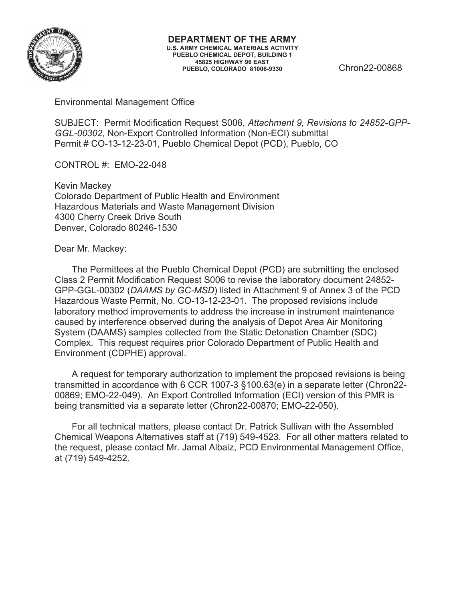

Environmental Management Office

SUBJECT: Permit Modification Request S006, *Attachment 9, Revisions to 24852-GPP-GGL-00302*, Non-Export Controlled Information (Non-ECI) submittal Permit # CO-13-12-23-01, Pueblo Chemical Depot (PCD), Pueblo, CO

CONTROL #: EMO-22-048

Kevin Mackey Colorado Department of Public Health and Environment Hazardous Materials and Waste Management Division 4300 Cherry Creek Drive South Denver, Colorado 80246-1530

Dear Mr. Mackey:

The Permittees at the Pueblo Chemical Depot (PCD) are submitting the enclosed Class 2 Permit Modification Request S006 to revise the laboratory document 24852- GPP-GGL-00302 (*DAAMS by GC-MSD*) listed in Attachment 9 of Annex 3 of the PCD Hazardous Waste Permit, No. CO-13-12-23-01. The proposed revisions include laboratory method improvements to address the increase in instrument maintenance caused by interference observed during the analysis of Depot Area Air Monitoring System (DAAMS) samples collected from the Static Detonation Chamber (SDC) Complex. This request requires prior Colorado Department of Public Health and Environment (CDPHE) approval.

A request for temporary authorization to implement the proposed revisions is being transmitted in accordance with 6 CCR 1007-3 §100.63(e) in a separate letter (Chron22- 00869; EMO-22-049). An Export Controlled Information (ECI) version of this PMR is being transmitted via a separate letter (Chron22-00870; EMO-22-050).

For all technical matters, please contact Dr. Patrick Sullivan with the Assembled Chemical Weapons Alternatives staff at (719) 549-4523. For all other matters related to the request, please contact Mr. Jamal Albaiz, PCD Environmental Management Office, at (719) 549-4252.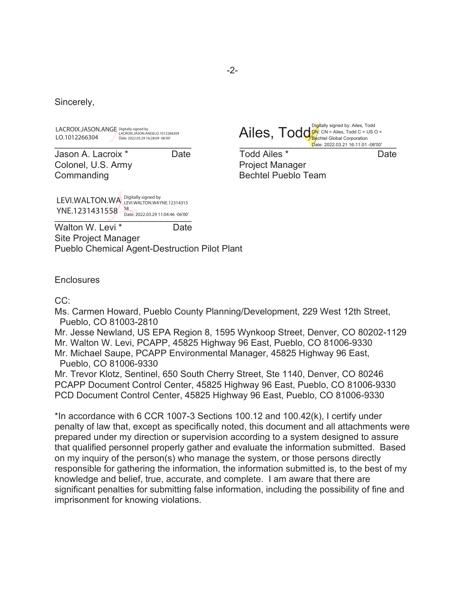Sincerely,

LACROIX.JASON.ANGE Digitally signed by<br>LACROIX.JASON.ANGE LACROIX.JASON.ANGELO.1012266304 LO.1012266304 Date: 2022.03.29 16:28:09 -06'00'

Jason A. Lacroix \* Date Todd Ailes \* Date Colonel, U.S. Army **Project Manager** Commanding **Bechtel Pueblo Team** 

Detrict Chicago Superinter Chicago Superinter Chicago Superinter Chicago Superinter Chicago Superinter Chicago Superinter Chicago Superinter Chicago Superinter Chicago Superinter Chicago Superinter Chicago Superinter Chica Digitally signed by: Ailes, Todd  $DN: CN = Ailes, Todd C = US O =$ Ailes, Todde: CRIP Styled By: Alles, Todd C = N Date: 2022.03.21 16:11:01 -06'00'

 $\frac{\text{Date: } 2022.03.29}{11.04.46 \cdot 06'00'}.$ LEVI.WALTON.WA Digitally signed by<br>LEVI.WALTON.WA LEVI.WALTON.WAYNE.12314315 YNE.1231431558 Bate: 2022.03.29 11:04:46 -06'00'

Walton W. Levi<sup>\*</sup> Date

Site Project Manager Pueblo Chemical Agent-Destruction Pilot Plant

**Enclosures** 

CC:

Ms. Carmen Howard, Pueblo County Planning/Development, 229 West 12th Street, Pueblo, CO 81003-2810

Mr. Jesse Newland, US EPA Region 8, 1595 Wynkoop Street, Denver, CO 80202-1129 Mr. Walton W. Levi, PCAPP, 45825 Highway 96 East, Pueblo, CO 81006-9330 Mr. Michael Saupe, PCAPP Environmental Manager, 45825 Highway 96 East, Pueblo, CO 81006-9330

Mr. Trevor Klotz, Sentinel, 650 South Cherry Street, Ste 1140, Denver, CO 80246 PCAPP Document Control Center, 45825 Highway 96 East, Pueblo, CO 81006-9330 PCD Document Control Center, 45825 Highway 96 East, Pueblo, CO 81006-9330

\*In accordance with 6 CCR 1007-3 Sections 100.12 and 100.42(k), I certify under penalty of law that, except as specifically noted, this document and all attachments were prepared under my direction or supervision according to a system designed to assure that qualified personnel properly gather and evaluate the information submitted. Based on my inquiry of the person(s) who manage the system, or those persons directly responsible for gathering the information, the information submitted is, to the best of my knowledge and belief, true, accurate, and complete. I am aware that there are significant penalties for submitting false information, including the possibility of fine and imprisonment for knowing violations.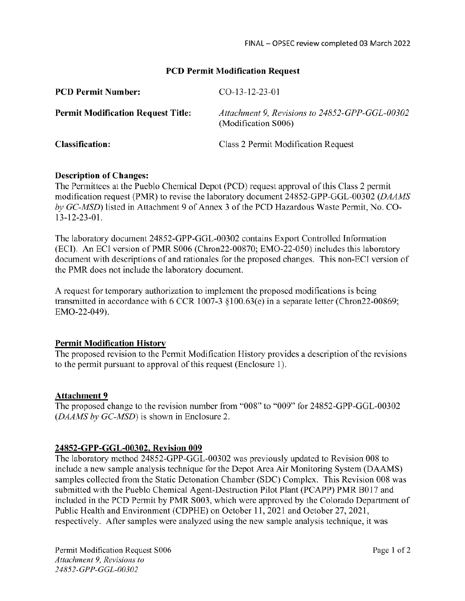#### **PCD Permit Modification Request**

| <b>PCD Permit Number:</b>                 | $CO-13-12-23-01$                                                      |
|-------------------------------------------|-----------------------------------------------------------------------|
| <b>Permit Modification Request Title:</b> | Attachment 9, Revisions to 24852-GPP-GGL-00302<br>(Modification S006) |
| <b>Classification:</b>                    | Class 2 Permit Modification Request                                   |

#### **Description of Changes:**

The Permittees at the Pueblo Chemical Depot (PCD) request approval of this Class 2 permit modification request (PMR) to revise the laboratory document 24852-GPP-GGL-00302 (DAAMS by GC-MSD) listed in Attachment 9 of Annex 3 of the PCD Hazardous Waste Permit, No. CO- $13 - 12 - 23 - 01$ .

The laboratory document 24852-GPP-GGL-00302 contains Export Controlled Information (ECI). An ECI version of PMR S006 (Chron22-00870; EMO-22-050) includes this laboratory document with descriptions of and rationales for the proposed changes. This non-ECI version of the PMR does not include the laboratory document.

A request for temporary authorization to implement the proposed modifications is being transmitted in accordance with 6 CCR 1007-3  $\S 100.63(e)$  in a separate letter (Chron22-00869; EMO-22-049).

## **Permit Modification History**

The proposed revision to the Permit Modification History provides a description of the revisions to the permit pursuant to approval of this request (Enclosure 1).

#### **Attachment 9**

The proposed change to the revision number from "008" to "009" for 24852-GPP-GGL-00302 (DAAMS by GC-MSD) is shown in Enclosure 2.

## 24852-GPP-GGL-00302, Revision 009

The laboratory method 24852-GPP-GGL-00302 was previously updated to Revision 008 to include a new sample analysis technique for the Depot Area Air Monitoring System (DAAMS) samples collected from the Static Detonation Chamber (SDC) Complex. This Revision 008 was submitted with the Pueblo Chemical Agent-Destruction Pilot Plant (PCAPP) PMR B017 and included in the PCD Permit by PMR S003, which were approved by the Colorado Department of Public Health and Environment (CDPHE) on October 11, 2021 and October 27, 2021, respectively. After samples were analyzed using the new sample analysis technique, it was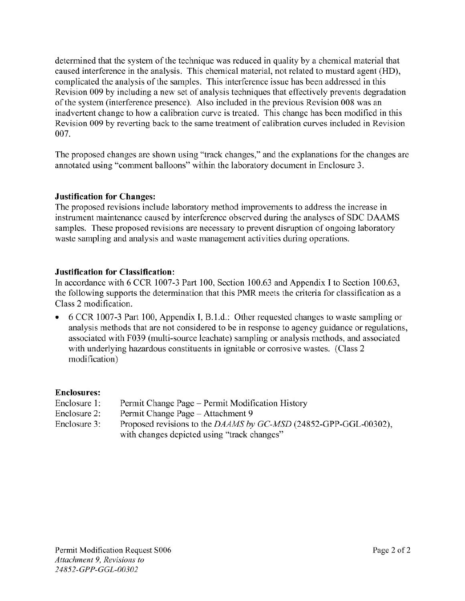determined that the system of the technique was reduced in quality by a chemical material that caused interference in the analysis. This chemical material, not related to mustard agent (HD), complicated the analysis of the samples. This interference issue has been addressed in this Revision 009 by including a new set of analysis techniques that effectively prevents degradation of the system (interference presence). Also included in the previous Revision 008 was an inadvertent change to how a calibration curve is treated. This change has been modified in this Revision 009 by reverting back to the same treatment of calibration curves included in Revision 007.

The proposed changes are shown using "track changes," and the explanations for the changes are annotated using "comment balloons" within the laboratory document in Enclosure 3.

#### **Justification for Changes:**

The proposed revisions include laboratory method improvements to address the increase in instrument maintenance caused by interference observed during the analyses of SDC DAAMS samples. These proposed revisions are necessary to prevent disruption of ongoing laboratory waste sampling and analysis and waste management activities during operations.

#### **Justification for Classification:**

In accordance with 6 CCR 1007-3 Part 100, Section 100.63 and Appendix I to Section 100.63, the following supports the determination that this PMR meets the criteria for classification as a Class 2 modification.

6 CCR 1007-3 Part 100, Appendix I, B.1.d.: Other requested changes to waste sampling or analysis methods that are not considered to be in response to agency guidance or regulations, associated with F039 (multi-source leachate) sampling or analysis methods, and associated with underlying hazardous constituents in ignitable or corrosive wastes. (Class 2) modification)

#### **Enclosures:**

- Enclosure 1: Permit Change Page - Permit Modification History
- Enclosure 2: Permit Change Page - Attachment 9
- Proposed revisions to the DAAMS by GC-MSD (24852-GPP-GGL-00302), Enclosure 3: with changes depicted using "track changes"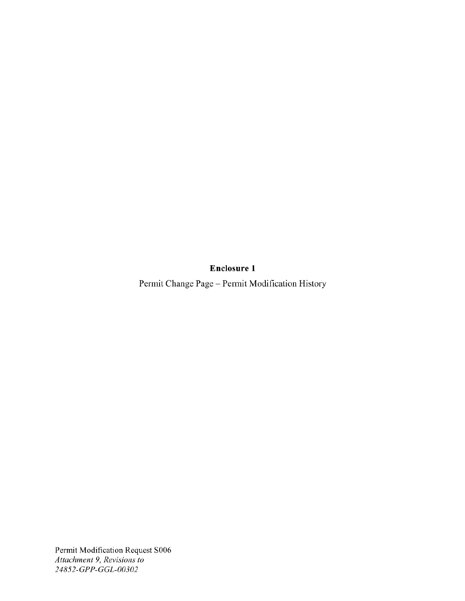**Enclosure 1** 

Permit Change Page - Permit Modification History

Permit Modification Request S006 Attachment 9, Revisions to 24852-GPP-GGL-00302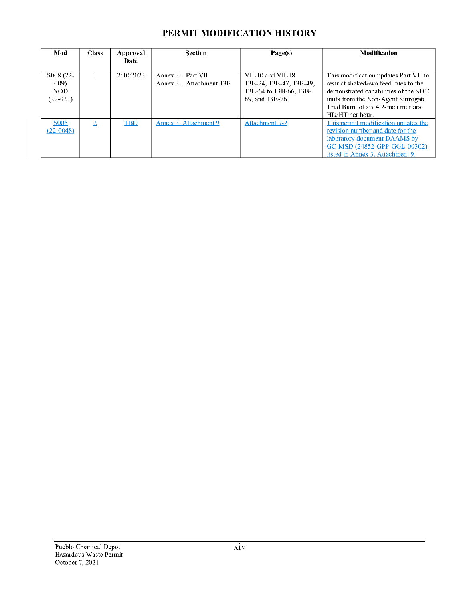## PERMIT MODIFICATION HISTORY

| Mod                                           | <b>Class</b>   | Approval<br>Date | Section                                            | Page(s)                                                                                  | Modification                                                                                                                                                                                                          |  |
|-----------------------------------------------|----------------|------------------|----------------------------------------------------|------------------------------------------------------------------------------------------|-----------------------------------------------------------------------------------------------------------------------------------------------------------------------------------------------------------------------|--|
| S008 (22-<br>009)<br><b>NOD</b><br>$(22-023)$ |                | 2/10/2022        | Annex $3 - Part VII$<br>Annex $3 -$ Attachment 13B | VII-10 and VII-18<br>13B-24, 13B-47, 13B-49,<br>13B-64 to 13B-66, 13B-<br>69, and 13B-76 | This modification updates Part VII to<br>restrict shakedown feed rates to the<br>demonstrated capabilities of the SDC<br>units from the Non-Agent Surrogate<br>Trial Burn, of six 4.2-inch mortars<br>HD/HT per hour. |  |
| <b>S006</b><br>$(22-0048)$                    | $\overline{2}$ | <b>TBD</b>       | Annex 3. Attachment 9                              | <b>Attachment 9-2</b>                                                                    | This permit modification updates the<br>revision number and date for the<br>laboratory document DAAMS by<br>GC-MSD (24852-GPP-GGL-00302)<br>listed in Annex 3, Attachment 9.                                          |  |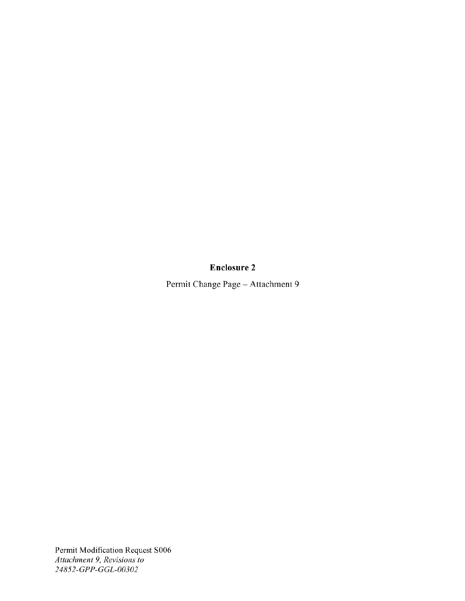# **Enclosure 2**

Permit Change Page - Attachment 9

Permit Modification Request S006 Attachment 9, Revisions to 24852-GPP-GGL-00302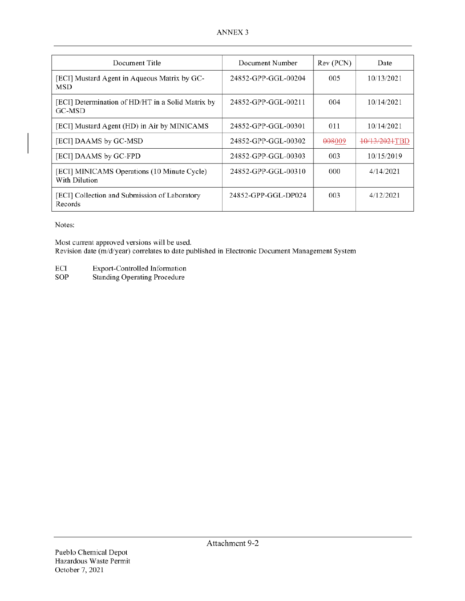| Document Title                                               | Document Number     | Rev (PCN) | Date          |
|--------------------------------------------------------------|---------------------|-----------|---------------|
| [ECI] Mustard Agent in Aqueous Matrix by GC-<br>MSD          | 24852-GPP-GGL-00204 | 005       | 10/13/2021    |
| [ECI] Determination of HD/HT in a Solid Matrix by<br>GC-MSD  | 24852-GPP-GGL-00211 | 004       | 10/14/2021    |
| [ECI] Mustard Agent (HD) in Air by MINICAMS                  | 24852-GPP-GGL-00301 | 011       | 10/14/2021    |
| [ECI] DAAMS by GC-MSD                                        | 24852-GPP-GGL-00302 | 008009    | 10/13/2021TBD |
| [ECI] DAAMS by GC-FPD                                        | 24852-GPP-GGL-00303 | 003       | 10/15/2019    |
| [ECI] MINICAMS Operations (10 Minute Cycle)<br>With Dilution | 24852-GPP-GGL-00310 | 000       | 4/14/2021     |
| [ECI] Collection and Submission of Laboratory<br>Records     | 24852-GPP-GGL-DP024 | 003       | 4/12/2021     |

Notes:

Most current approved versions will be used. Revision date (m/d/year) correlates to date published in Electronic Document Management System

- Export-Controlled Information  $\operatorname{ECI}$
- SOP **Standing Operating Procedure**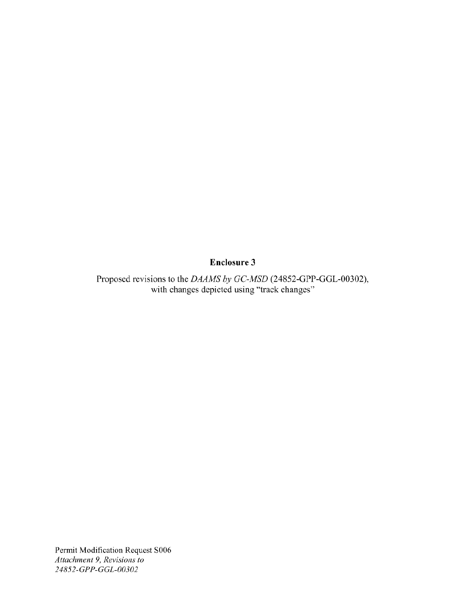## **Enclosure 3**

Proposed revisions to the DAAMS by GC-MSD (24852-GPP-GGL-00302),<br>with changes depicted using "track changes"

Permit Modification Request S006 Attachment 9, Revisions to 24852-GPP-GGL-00302